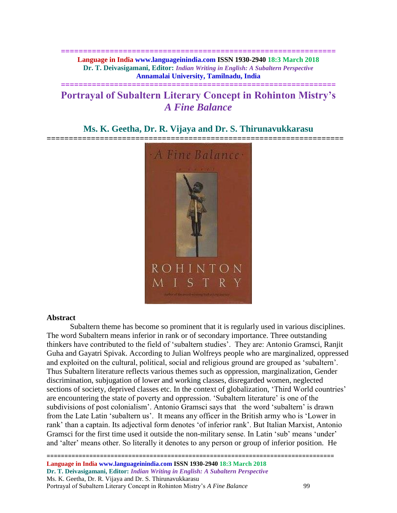**============================================================== Language in India www.languageinindia.com ISSN 1930-2940 18:3 March 2018 Dr. T. Deivasigamani, Editor:** *Indian Writing in English: A Subaltern Perspective* **Annamalai University, Tamilnadu, India**

## **Portrayal of Subaltern Literary Concept in Rohinton Mistry's**  *A Fine Balance*

**==============================================================**

### **Ms. K. Geetha, Dr. R. Vijaya and Dr. S. Thirunavukkarasu**



#### **Abstract**

Subaltern theme has become so prominent that it is regularly used in various disciplines. The word Subaltern means inferior in rank or of secondary importance. Three outstanding thinkers have contributed to the field of 'subaltern studies'. They are: Antonio Gramsci, Ranjit Guha and Gayatri Spivak. According to Julian Wolfreys people who are marginalized, oppressed and exploited on the cultural, political, social and religious ground are grouped as 'subaltern'. Thus Subaltern literature reflects various themes such as oppression, marginalization, Gender discrimination, subjugation of lower and working classes, disregarded women, neglected sections of society, deprived classes etc. In the context of globalization, 'Third World countries' are encountering the state of poverty and oppression. 'Subaltern literature' is one of the subdivisions of post colonialism'. Antonio Gramsci says that the word 'subaltern' is drawn from the Late Latin 'subaltern us'. It means any officer in the British army who is 'Lower in rank' than a captain. Its adjectival form denotes 'of inferior rank'. But Italian Marxist, Antonio Gramsci for the first time used it outside the non-military sense. In Latin 'sub' means 'under' and 'alter' means other. So literally it denotes to any person or group of inferior position. He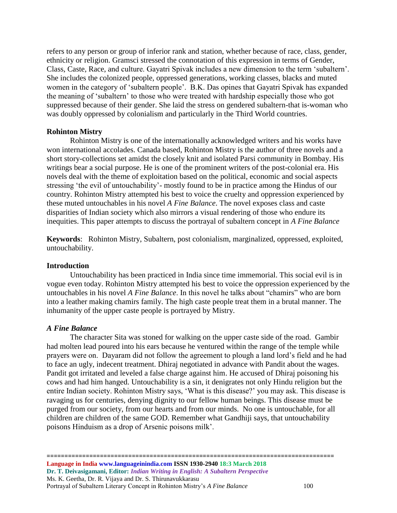refers to any person or group of inferior rank and station, whether because of race, class, gender, ethnicity or religion. Gramsci stressed the connotation of this expression in terms of Gender, Class, Caste, Race, and culture. Gayatri Spivak includes a new dimension to the term 'subaltern'. She includes the colonized people, oppressed generations, working classes, blacks and muted women in the category of 'subaltern people'. B.K. Das opines that Gayatri Spivak has expanded the meaning of 'subaltern' to those who were treated with hardship especially those who got suppressed because of their gender. She laid the stress on gendered subaltern-that is-woman who was doubly oppressed by colonialism and particularly in the Third World countries.

#### **Rohinton Mistry**

Rohinton Mistry is one of the internationally acknowledged writers and his works have won international accolades. Canada based, Rohinton Mistry is the author of three novels and a short story-collections set amidst the closely knit and isolated Parsi community in Bombay. His writings bear a social purpose. He is one of the prominent writers of the post-colonial era. His novels deal with the theme of exploitation based on the political, economic and social aspects stressing 'the evil of untouchability'- mostly found to be in practice among the Hindus of our country. Rohinton Mistry attempted his best to voice the cruelty and oppression experienced by these muted untouchables in his novel *A Fine Balance*. The novel exposes class and caste disparities of Indian society which also mirrors a visual rendering of those who endure its inequities. This paper attempts to discuss the portrayal of subaltern concept in *A Fine Balance*

**Keywords**: Rohinton Mistry, Subaltern, post colonialism, marginalized, oppressed, exploited, untouchability.

#### **Introduction**

Untouchability has been practiced in India since time immemorial. This social evil is in vogue even today. Rohinton Mistry attempted his best to voice the oppression experienced by the untouchables in his novel *A Fine Balance*. In this novel he talks about "chamirs" who are born into a leather making chamirs family. The high caste people treat them in a brutal manner. The inhumanity of the upper caste people is portrayed by Mistry.

#### *A Fine Balance*

The character Sita was stoned for walking on the upper caste side of the road. Gambir had molten lead poured into his ears because he ventured within the range of the temple while prayers were on. Dayaram did not follow the agreement to plough a land lord's field and he had to face an ugly, indecent treatment. Dhiraj negotiated in advance with Pandit about the wages. Pandit got irritated and leveled a false charge against him. He accused of Dhiraj poisoning his cows and had him hanged. Untouchability is a sin, it denigrates not only Hindu religion but the entire Indian society. Rohinton Mistry says, 'What is this disease?' you may ask. This disease is ravaging us for centuries, denying dignity to our fellow human beings. This disease must be purged from our society, from our hearts and from our minds. No one is untouchable, for all children are children of the same GOD. Remember what Gandhiji says, that untouchability poisons Hinduism as a drop of Arsenic poisons milk'.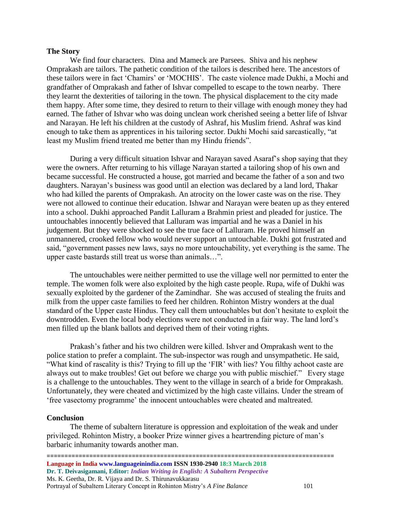#### **The Story**

We find four characters. Dina and Mameck are Parsees. Shiva and his nephew Omprakash are tailors. The pathetic condition of the tailors is described here. The ancestors of these tailors were in fact 'Chamirs' or 'MOCHIS'. The caste violence made Dukhi, a Mochi and grandfather of Omprakash and father of Ishvar compelled to escape to the town nearby. There they learnt the dexterities of tailoring in the town. The physical displacement to the city made them happy. After some time, they desired to return to their village with enough money they had earned. The father of Ishvar who was doing unclean work cherished seeing a better life of Ishvar and Narayan. He left his children at the custody of Ashraf, his Muslim friend. Ashraf was kind enough to take them as apprentices in his tailoring sector. Dukhi Mochi said sarcastically, "at least my Muslim friend treated me better than my Hindu friends".

During a very difficult situation Ishvar and Narayan saved Asaraf's shop saying that they were the owners. After returning to his village Narayan started a tailoring shop of his own and became successful. He constructed a house, got married and became the father of a son and two daughters. Narayan's business was good until an election was declared by a land lord, Thakar who had killed the parents of Omprakash. An atrocity on the lower caste was on the rise. They were not allowed to continue their education. Ishwar and Narayan were beaten up as they entered into a school. Dukhi approached Pandit Lalluram a Brahmin priest and pleaded for justice. The untouchables innocently believed that Lalluram was impartial and he was a Daniel in his judgement. But they were shocked to see the true face of Lalluram. He proved himself an unmannered, crooked fellow who would never support an untouchable. Dukhi got frustrated and said, "government passes new laws, says no more untouchability, yet everything is the same. The upper caste bastards still treat us worse than animals…".

The untouchables were neither permitted to use the village well nor permitted to enter the temple. The women folk were also exploited by the high caste people. Rupa, wife of Dukhi was sexually exploited by the gardener of the Zamindhar. She was accused of stealing the fruits and milk from the upper caste families to feed her children. Rohinton Mistry wonders at the dual standard of the Upper caste Hindus. They call them untouchables but don't hesitate to exploit the downtrodden. Even the local body elections were not conducted in a fair way. The land lord's men filled up the blank ballots and deprived them of their voting rights.

Prakash's father and his two children were killed. Ishver and Omprakash went to the police station to prefer a complaint. The sub-inspector was rough and unsympathetic. He said, "What kind of rascality is this? Trying to fill up the 'FIR' with lies? You filthy achoot caste are always out to make troubles! Get out before we charge you with public mischief." Every stage is a challenge to the untouchables. They went to the village in search of a bride for Omprakash. Unfortunately, they were cheated and victimized by the high caste villains. Under the stream of 'free vasectomy programme' the innocent untouchables were cheated and maltreated.

#### **Conclusion**

The theme of subaltern literature is oppression and exploitation of the weak and under privileged. Rohinton Mistry, a booker Prize winner gives a heartrending picture of man's barbaric inhumanity towards another man.

================================================================================= **Language in India www.languageinindia.com ISSN 1930-2940 18:3 March 2018 Dr. T. Deivasigamani, Editor:** *Indian Writing in English: A Subaltern Perspective* Ms. K. Geetha, Dr. R. Vijaya and Dr. S. Thirunavukkarasu Portrayal of Subaltern Literary Concept in Rohinton Mistry's *A Fine Balance* 101